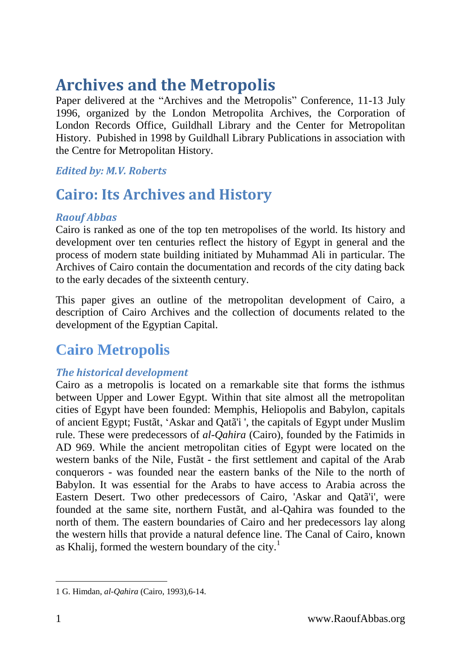# **Archives and the Metropolis**

Paper delivered at the "Archives and the Metropolis" Conference, 11-13 July 1996, organized by the London Metropolita Archives, the Corporation of London Records Office, Guildhall Library and the Center for Metropolitan History. Pubished in 1998 by Guildhall Library Publications in association with the Centre for Metropolitan History.

#### *Edited by: M.V. Roberts*

# **Cairo: Its Archives and History**

#### *Raouf Abbas*

Cairo is ranked as one of the top ten metropolises of the world. Its history and development over ten centuries reflect the history of Egypt in general and the process of modern state building initiated by Muhammad Ali in particular. The Archives of Cairo contain the documentation and records of the city dating back to the early decades of the sixteenth century.

This paper gives an outline of the metropolitan development of Cairo, a description of Cairo Archives and the collection of documents related to the development of the Egyptian Capital.

# **Cairo Metropolis**

### *The historical development*

Cairo as a metropolis is located on a remarkable site that forms the isthmus between Upper and Lower Egypt. Within that site almost all the metropolitan cities of Egypt have been founded: Memphis, Heliopolis and Babylon, capitals of ancient Egypt; Fustãt, 'Askar and Qatã'i ', the capitals of Egypt under Muslim rule. These were predecessors of *al-Qahira* (Cairo), founded by the Fatimids in AD 969. While the ancient metropolitan cities of Egypt were located on the western banks of the Nile, Fustãt - the first settlement and capital of the Arab conquerors - was founded near the eastern banks of the Nile to the north of Babylon. It was essential for the Arabs to have access to Arabia across the Eastern Desert. Two other predecessors of Cairo, 'Askar and Qatã'i', were founded at the same site, northern Fustãt, and al-Qahira was founded to the north of them. The eastern boundaries of Cairo and her predecessors lay along the western hills that provide a natural defence line. The Canal of Cairo, known as Khalij, formed the western boundary of the city.<sup>1</sup>

<sup>-</sup>1 G. Himdan, *al-Qahira* (Cairo, 1993),6-14.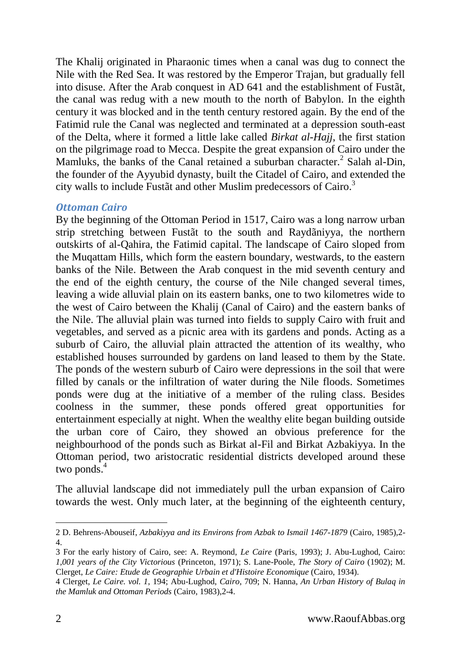The Khalij originated in Pharaonic times when a canal was dug to connect the Nile with the Red Sea. It was restored by the Emperor Trajan, but gradually fell into disuse. After the Arab conquest in AD 641 and the establishment of Fustãt, the canal was redug with a new mouth to the north of Babylon. In the eighth century it was blocked and in the tenth century restored again. By the end of the Fatimid rule the Canal was neglected and terminated at a depression south-east of the Delta, where it formed a little lake called *Birkat al-Hajj*, the first station on the pilgrimage road to Mecca. Despite the great expansion of Cairo under the Mamluks, the banks of the Canal retained a suburban character.<sup>2</sup> Salah al-Din, the founder of the Ayyubid dynasty, built the Citadel of Cairo, and extended the city walls to include Fustãt and other Muslim predecessors of Cairo. 3

#### *Ottoman Cairo*

By the beginning of the Ottoman Period in 1517, Cairo was a long narrow urban strip stretching between Fustãt to the south and Raydãniyya, the northern outskirts of al-Qahira, the Fatimid capital. The landscape of Cairo sloped from the Muqattam Hills, which form the eastern boundary, westwards, to the eastern banks of the Nile. Between the Arab conquest in the mid seventh century and the end of the eighth century, the course of the Nile changed several times, leaving a wide alluvial plain on its eastern banks, one to two kilometres wide to the west of Cairo between the Khalij (Canal of Cairo) and the eastern banks of the Nile. The alluvial plain was turned into fields to supply Cairo with fruit and vegetables, and served as a picnic area with its gardens and ponds. Acting as a suburb of Cairo, the alluvial plain attracted the attention of its wealthy, who established houses surrounded by gardens on land leased to them by the State. The ponds of the western suburb of Cairo were depressions in the soil that were filled by canals or the infiltration of water during the Nile floods. Sometimes ponds were dug at the initiative of a member of the ruling class. Besides coolness in the summer, these ponds offered great opportunities for entertainment especially at night. When the wealthy elite began building outside the urban core of Cairo, they showed an obvious preference for the neighbourhood of the ponds such as Birkat al-Fil and Birkat Azbakiyya. In the Ottoman period, two aristocratic residential districts developed around these two ponds. 4

The alluvial landscape did not immediately pull the urban expansion of Cairo towards the west. Only much later, at the beginning of the eighteenth century,

<sup>2</sup> D. Behrens-Abouseif, *Azbakiyya and its Environs from Azbak to Ismail 1467-1879* (Cairo, 1985),2- 4.

<sup>3</sup> For the early history of Cairo, see: A. Reymond, *Le Caire* (Paris, 1993); J. Abu-Lughod, Cairo: *1,001 years of the City Victorious* (Princeton, 1971); S. Lane-Poole, *The Story of Cairo* (1902); M. Clerget, *Le Caire: Etude de Geographie Urbain et d'Histoire Economique* (Cairo, 1934).

<sup>4</sup> Clerget, *Le Caire. vol. 1*, 194; Abu-Lughod, *Cairo*, 709; N. Hanna, *An Urban History of Bulaq in the Mamluk and Ottoman Periods* (Cairo, 1983),2-4.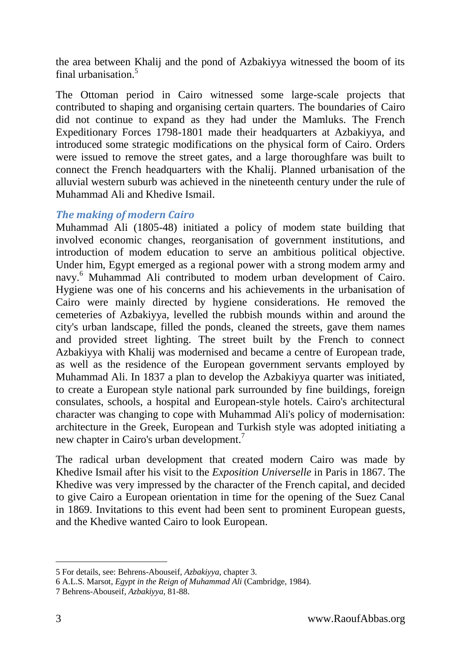the area between Khalij and the pond of Azbakiyya witnessed the boom of its final urbanisation  $5$ 

The Ottoman period in Cairo witnessed some large-scale projects that contributed to shaping and organising certain quarters. The boundaries of Cairo did not continue to expand as they had under the Mamluks. The French Expeditionary Forces 1798-1801 made their headquarters at Azbakiyya, and introduced some strategic modifications on the physical form of Cairo. Orders were issued to remove the street gates, and a large thoroughfare was built to connect the French headquarters with the Khalij. Planned urbanisation of the alluvial western suburb was achieved in the nineteenth century under the rule of Muhammad Ali and Khedive Ismail.

#### *The making of modern Cairo*

Muhammad Ali (1805-48) initiated a policy of modem state building that involved economic changes, reorganisation of government institutions, and introduction of modem education to serve an ambitious political objective. Under him, Egypt emerged as a regional power with a strong modem army and navy. <sup>6</sup> Muhammad Ali contributed to modem urban development of Cairo. Hygiene was one of his concerns and his achievements in the urbanisation of Cairo were mainly directed by hygiene considerations. He removed the cemeteries of Azbakiyya, levelled the rubbish mounds within and around the city's urban landscape, filled the ponds, cleaned the streets, gave them names and provided street lighting. The street built by the French to connect Azbakiyya with Khalij was modernised and became a centre of European trade, as well as the residence of the European government servants employed by Muhammad Ali. In 1837 a plan to develop the Azbakiyya quarter was initiated, to create a European style national park surrounded by fine buildings, foreign consulates, schools, a hospital and European-style hotels. Cairo's architectural character was changing to cope with Muhammad Ali's policy of modernisation: architecture in the Greek, European and Turkish style was adopted initiating a new chapter in Cairo's urban development.<sup>7</sup>

The radical urban development that created modern Cairo was made by Khedive Ismail after his visit to the *Exposition Universelle* in Paris in 1867. The Khedive was very impressed by the character of the French capital, and decided to give Cairo a European orientation in time for the opening of the Suez Canal in 1869. Invitations to this event had been sent to prominent European guests, and the Khedive wanted Cairo to look European.

<sup>5</sup> For details, see: Behrens-Abouseif, *Azbakiyya*, chapter 3.

<sup>6</sup> A.L.S. Marsot*, Egypt in the Reign of Muhammad Ali* (Cambridge, 1984).

<sup>7</sup> Behrens-Abouseif, *Azbakiyya*, 81-88.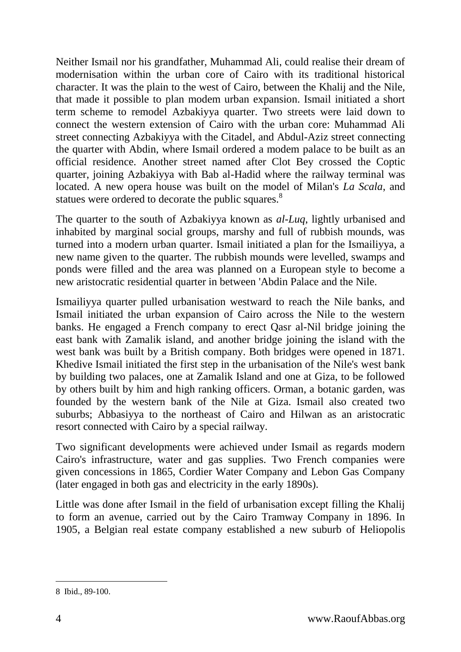Neither Ismail nor his grandfather, Muhammad Ali, could realise their dream of modernisation within the urban core of Cairo with its traditional historical character. It was the plain to the west of Cairo, between the Khalij and the Nile, that made it possible to plan modem urban expansion. Ismail initiated a short term scheme to remodel Azbakiyya quarter. Two streets were laid down to connect the western extension of Cairo with the urban core: Muhammad Ali street connecting Azbakiyya with the Citadel, and Abdul-Aziz street connecting the quarter with Abdin, where Ismail ordered a modem palace to be built as an official residence. Another street named after Clot Bey crossed the Coptic quarter, joining Azbakiyya with Bab al-Hadid where the railway terminal was located. A new opera house was built on the model of Milan's *La Scala*, and statues were ordered to decorate the public squares.<sup>8</sup>

The quarter to the south of Azbakiyya known as *al-Luq*, lightly urbanised and inhabited by marginal social groups, marshy and full of rubbish mounds, was turned into a modern urban quarter. Ismail initiated a plan for the Ismailiyya, a new name given to the quarter. The rubbish mounds were levelled, swamps and ponds were filled and the area was planned on a European style to become a new aristocratic residential quarter in between 'Abdin Palace and the Nile.

Ismailiyya quarter pulled urbanisation westward to reach the Nile banks, and Ismail initiated the urban expansion of Cairo across the Nile to the western banks. He engaged a French company to erect Qasr al-Nil bridge joining the east bank with Zamalik island, and another bridge joining the island with the west bank was built by a British company. Both bridges were opened in 1871. Khedive Ismail initiated the first step in the urbanisation of the Nile's west bank by building two palaces, one at Zamalik Island and one at Giza, to be followed by others built by him and high ranking officers. Orman, a botanic garden, was founded by the western bank of the Nile at Giza. Ismail also created two suburbs; Abbasiyya to the northeast of Cairo and Hilwan as an aristocratic resort connected with Cairo by a special railway.

Two significant developments were achieved under Ismail as regards modern Cairo's infrastructure, water and gas supplies. Two French companies were given concessions in 1865, Cordier Water Company and Lebon Gas Company (later engaged in both gas and electricity in the early 1890s).

Little was done after Ismail in the field of urbanisation except filling the Khalij to form an avenue, carried out by the Cairo Tramway Company in 1896. In 1905, a Belgian real estate company established a new suburb of Heliopolis

-

<sup>8</sup> Ibid., 89-100.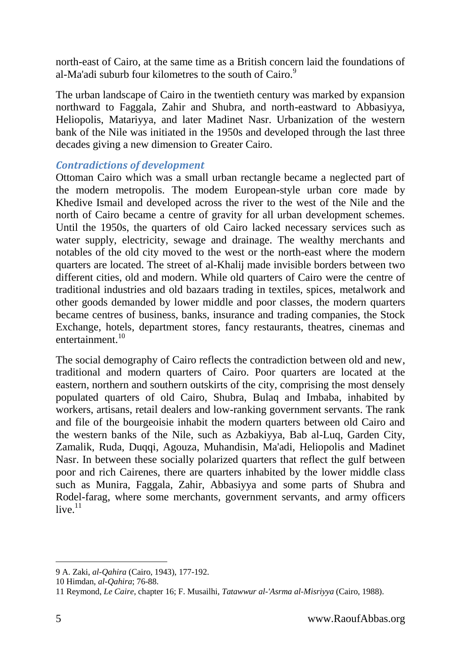north-east of Cairo, at the same time as a British concern laid the foundations of al-Ma'adi suburb four kilometres to the south of Cairo.<sup>9</sup>

The urban landscape of Cairo in the twentieth century was marked by expansion northward to Faggala, Zahir and Shubra, and north-eastward to Abbasiyya, Heliopolis, Matariyya, and later Madinet Nasr. Urbanization of the western bank of the Nile was initiated in the 1950s and developed through the last three decades giving a new dimension to Greater Cairo.

#### *Contradictions of development*

Ottoman Cairo which was a small urban rectangle became a neglected part of the modern metropolis. The modem European-style urban core made by Khedive Ismail and developed across the river to the west of the Nile and the north of Cairo became a centre of gravity for all urban development schemes. Until the 1950s, the quarters of old Cairo lacked necessary services such as water supply, electricity, sewage and drainage. The wealthy merchants and notables of the old city moved to the west or the north-east where the modern quarters are located. The street of al-Khalij made invisible borders between two different cities, old and modern. While old quarters of Cairo were the centre of traditional industries and old bazaars trading in textiles, spices, metalwork and other goods demanded by lower middle and poor classes, the modern quarters became centres of business, banks, insurance and trading companies, the Stock Exchange, hotels, department stores, fancy restaurants, theatres, cinemas and entertainment.<sup>10</sup>

The social demography of Cairo reflects the contradiction between old and new, traditional and modern quarters of Cairo. Poor quarters are located at the eastern, northern and southern outskirts of the city, comprising the most densely populated quarters of old Cairo, Shubra, Bulaq and Imbaba, inhabited by workers, artisans, retail dealers and low-ranking government servants. The rank and file of the bourgeoisie inhabit the modern quarters between old Cairo and the western banks of the Nile, such as Azbakiyya, Bab al-Luq, Garden City, Zamalik, Ruda, Duqqi, Agouza, Muhandisin, Ma'adi, Heliopolis and Madinet Nasr. In between these socially polarized quarters that reflect the gulf between poor and rich Cairenes, there are quarters inhabited by the lower middle class such as Munira, Faggala, Zahir, Abbasiyya and some parts of Shubra and Rodel-farag, where some merchants, government servants, and army officers live. $11$ 

 $\overline{a}$ 9 A. Zaki, *al-Qahira* (Cairo, 1943), 177-192.

<sup>10</sup> Himdan, *al-Qahira*; 76-88.

<sup>11</sup> Reymond, *Le Caire*, chapter 16; F. Musailhi, *Tatawwur al-'Asrma al-Misriyya* (Cairo, 1988).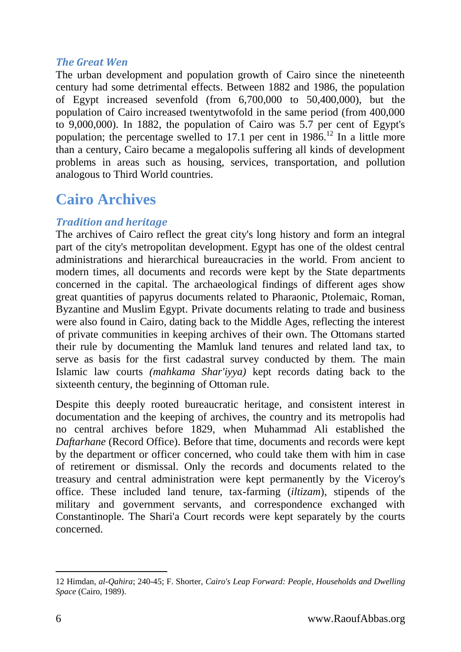#### *The Great Wen*

The urban development and population growth of Cairo since the nineteenth century had some detrimental effects. Between 1882 and 1986, the population of Egypt increased sevenfold (from 6,700,000 to 50,400,000), but the population of Cairo increased twentytwofold in the same period (from 400,000 to 9,000,000). In 1882, the population of Cairo was 5.7 per cent of Egypt's population; the percentage swelled to 17.1 per cent in  $1986$ .<sup>12</sup> In a little more than a century, Cairo became a megalopolis suffering all kinds of development problems in areas such as housing, services, transportation, and pollution analogous to Third World countries.

# **Cairo Archives**

## *Tradition and heritage*

The archives of Cairo reflect the great city's long history and form an integral part of the city's metropolitan development. Egypt has one of the oldest central administrations and hierarchical bureaucracies in the world. From ancient to modern times, all documents and records were kept by the State departments concerned in the capital. The archaeological findings of different ages show great quantities of papyrus documents related to Pharaonic, Ptolemaic, Roman, Byzantine and Muslim Egypt. Private documents relating to trade and business were also found in Cairo, dating back to the Middle Ages, reflecting the interest of private communities in keeping archives of their own. The Ottomans started their rule by documenting the Mamluk land tenures and related land tax, to serve as basis for the first cadastral survey conducted by them. The main Islamic law courts *(mahkama Shar'iyya)* kept records dating back to the sixteenth century, the beginning of Ottoman rule.

Despite this deeply rooted bureaucratic heritage, and consistent interest in documentation and the keeping of archives, the country and its metropolis had no central archives before 1829, when Muhammad Ali established the *Daftarhane* (Record Office). Before that time, documents and records were kept by the department or officer concerned, who could take them with him in case of retirement or dismissal. Only the records and documents related to the treasury and central administration were kept permanently by the Viceroy's office. These included land tenure, tax-farming (*iltizam*), stipends of the military and government servants, and correspondence exchanged with Constantinople. The Shari'a Court records were kept separately by the courts concerned.

<sup>12</sup> Himdan, *al-Qahira*; 240-45; F. Shorter, *Cairo's Leap Forward: People, Households and Dwelling Space* (Cairo, 1989).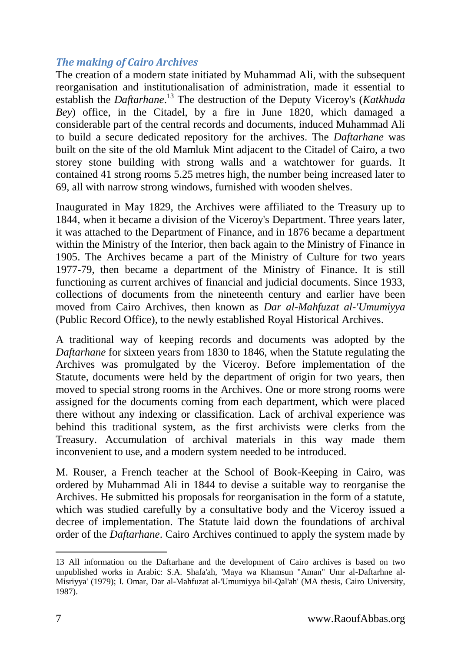### *The making of Cairo Archives*

The creation of a modern state initiated by Muhammad Ali, with the subsequent reorganisation and institutionalisation of administration, made it essential to establish the *Daftarhane*. <sup>13</sup> The destruction of the Deputy Viceroy's (*Katkhuda Bey*) office, in the Citadel, by a fire in June 1820, which damaged a considerable part of the central records and documents, induced Muhammad Ali to build a secure dedicated repository for the archives. The *Daftarhane* was built on the site of the old Mamluk Mint adjacent to the Citadel of Cairo, a two storey stone building with strong walls and a watchtower for guards. It contained 41 strong rooms 5.25 metres high, the number being increased later to 69, all with narrow strong windows, furnished with wooden shelves.

Inaugurated in May 1829, the Archives were affiliated to the Treasury up to 1844, when it became a division of the Viceroy's Department. Three years later, it was attached to the Department of Finance, and in 1876 became a department within the Ministry of the Interior, then back again to the Ministry of Finance in 1905. The Archives became a part of the Ministry of Culture for two years 1977-79, then became a department of the Ministry of Finance. It is still functioning as current archives of financial and judicial documents. Since 1933, collections of documents from the nineteenth century and earlier have been moved from Cairo Archives, then known as *Dar al-Mahfuzat al-'Umumiyya* (Public Record Office), to the newly established Royal Historical Archives.

A traditional way of keeping records and documents was adopted by the *Daftarhane* for sixteen years from 1830 to 1846, when the Statute regulating the Archives was promulgated by the Viceroy. Before implementation of the Statute, documents were held by the department of origin for two years, then moved to special strong rooms in the Archives. One or more strong rooms were assigned for the documents coming from each department, which were placed there without any indexing or classification. Lack of archival experience was behind this traditional system, as the first archivists were clerks from the Treasury. Accumulation of archival materials in this way made them inconvenient to use, and a modern system needed to be introduced.

M. Rouser, a French teacher at the School of Book-Keeping in Cairo, was ordered by Muhammad Ali in 1844 to devise a suitable way to reorganise the Archives. He submitted his proposals for reorganisation in the form of a statute, which was studied carefully by a consultative body and the Viceroy issued a decree of implementation. The Statute laid down the foundations of archival order of the *Daftarhane*. Cairo Archives continued to apply the system made by

-

<sup>13</sup> All information on the Daftarhane and the development of Cairo archives is based on two unpublished works in Arabic: S.A. Shafa'ah, 'Maya wa Khamsun "Aman" Umr al-Daftarhne al-Misriyya' (1979); I. Omar, Dar al-Mahfuzat al-'Umumiyya bil-Qal'ah' (MA thesis, Cairo University, 1987).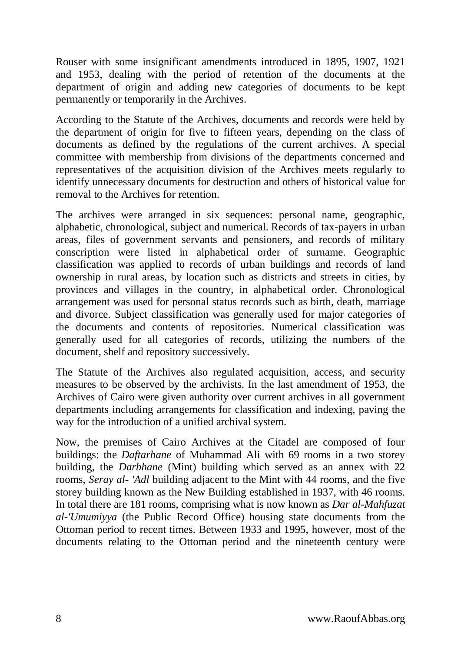Rouser with some insignificant amendments introduced in 1895, 1907, 1921 and 1953, dealing with the period of retention of the documents at the department of origin and adding new categories of documents to be kept permanently or temporarily in the Archives.

According to the Statute of the Archives, documents and records were held by the department of origin for five to fifteen years, depending on the class of documents as defined by the regulations of the current archives. A special committee with membership from divisions of the departments concerned and representatives of the acquisition division of the Archives meets regularly to identify unnecessary documents for destruction and others of historical value for removal to the Archives for retention.

The archives were arranged in six sequences: personal name, geographic, alphabetic, chronological, subject and numerical. Records of tax-payers in urban areas, files of government servants and pensioners, and records of military conscription were listed in alphabetical order of surname. Geographic classification was applied to records of urban buildings and records of land ownership in rural areas, by location such as districts and streets in cities, by provinces and villages in the country, in alphabetical order. Chronological arrangement was used for personal status records such as birth, death, marriage and divorce. Subject classification was generally used for major categories of the documents and contents of repositories. Numerical classification was generally used for all categories of records, utilizing the numbers of the document, shelf and repository successively.

The Statute of the Archives also regulated acquisition, access, and security measures to be observed by the archivists. In the last amendment of 1953, the Archives of Cairo were given authority over current archives in all government departments including arrangements for classification and indexing, paving the way for the introduction of a unified archival system.

Now, the premises of Cairo Archives at the Citadel are composed of four buildings: the *Daftarhane* of Muhammad Ali with 69 rooms in a two storey building, the *Darbhane* (Mint) building which served as an annex with 22 rooms, *Seray al- 'Adl* building adjacent to the Mint with 44 rooms, and the five storey building known as the New Building established in 1937, with 46 rooms. In total there are 181 rooms, comprising what is now known as *Dar al-Mahfuzat al-'Umumiyya* (the Public Record Office) housing state documents from the Ottoman period to recent times. Between 1933 and 1995, however, most of the documents relating to the Ottoman period and the nineteenth century were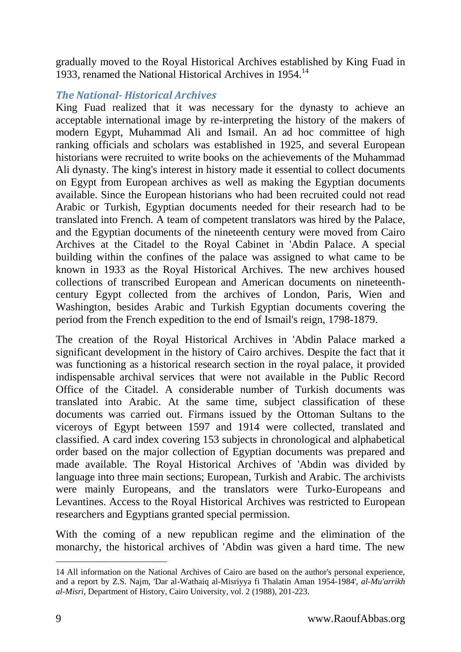gradually moved to the Royal Historical Archives established by King Fuad in 1933, renamed the National Historical Archives in 1954.<sup>14</sup>

### *The National- Historical Archives*

King Fuad realized that it was necessary for the dynasty to achieve an acceptable international image by re-interpreting the history of the makers of modern Egypt, Muhammad Ali and Ismail. An ad hoc committee of high ranking officials and scholars was established in 1925, and several European historians were recruited to write books on the achievements of the Muhammad Ali dynasty. The king's interest in history made it essential to collect documents on Egypt from European archives as well as making the Egyptian documents available. Since the European historians who had been recruited could not read Arabic or Turkish, Egyptian documents needed for their research had to be translated into French. A team of competent translators was hired by the Palace, and the Egyptian documents of the nineteenth century were moved from Cairo Archives at the Citadel to the Royal Cabinet in 'Abdin Palace. A special building within the confines of the palace was assigned to what came to be known in 1933 as the Royal Historical Archives. The new archives housed collections of transcribed European and American documents on nineteenthcentury Egypt collected from the archives of London, Paris, Wien and Washington, besides Arabic and Turkish Egyptian documents covering the period from the French expedition to the end of Ismail's reign, 1798-1879.

The creation of the Royal Historical Archives in 'Abdin Palace marked a significant development in the history of Cairo archives. Despite the fact that it was functioning as a historical research section in the royal palace, it provided indispensable archival services that were not available in the Public Record Office of the Citadel. A considerable number of Turkish documents was translated into Arabic. At the same time, subject classification of these documents was carried out. Firmans issued by the Ottoman Sultans to the viceroys of Egypt between 1597 and 1914 were collected, translated and classified. A card index covering 153 subjects in chronological and alphabetical order based on the major collection of Egyptian documents was prepared and made available. The Royal Historical Archives of 'Abdin was divided by language into three main sections; European, Turkish and Arabic. The archivists were mainly Europeans, and the translators were Turko-Europeans and Levantines. Access to the Royal Historical Archives was restricted to European researchers and Egyptians granted special permission.

With the coming of a new republican regime and the elimination of the monarchy, the historical archives of 'Abdin was given a hard time. The new

<sup>14</sup> All information on the National Archives of Cairo are based on the author's personal experience, and a report by Z.S. Najm, 'Dar al-Wathaiq al-Misriyya fi Thalatin Aman 1954-1984', *al-Mu'arrikh al-Misri*, Department of History, Cairo University, vol. 2 (1988), 201-223.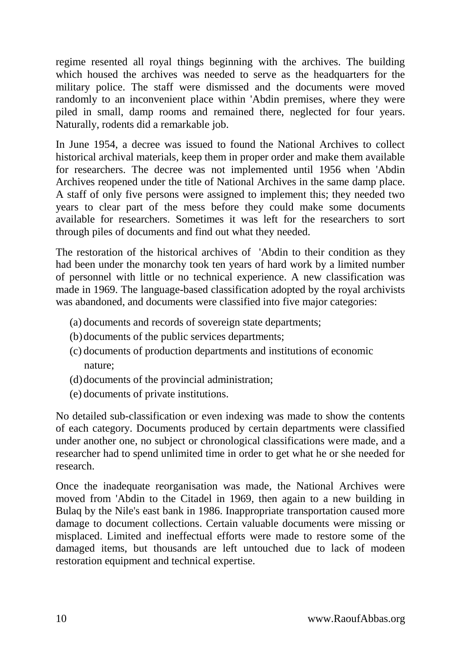regime resented all royal things beginning with the archives. The building which housed the archives was needed to serve as the headquarters for the military police. The staff were dismissed and the documents were moved randomly to an inconvenient place within 'Abdin premises, where they were piled in small, damp rooms and remained there, neglected for four years. Naturally, rodents did a remarkable job.

In June 1954, a decree was issued to found the National Archives to collect historical archival materials, keep them in proper order and make them available for researchers. The decree was not implemented until 1956 when 'Abdin Archives reopened under the title of National Archives in the same damp place. A staff of only five persons were assigned to implement this; they needed two years to clear part of the mess before they could make some documents available for researchers. Sometimes it was left for the researchers to sort through piles of documents and find out what they needed.

The restoration of the historical archives of 'Abdin to their condition as they had been under the monarchy took ten years of hard work by a limited number of personnel with little or no technical experience. A new classification was made in 1969. The language-based classification adopted by the royal archivists was abandoned, and documents were classified into five major categories:

- (a) documents and records of sovereign state departments;
- (b)documents of the public services departments;
- (c) documents of production departments and institutions of economic nature;
- (d) documents of the provincial administration;
- (e) documents of private institutions.

No detailed sub-classification or even indexing was made to show the contents of each category. Documents produced by certain departments were classified under another one, no subject or chronological classifications were made, and a researcher had to spend unlimited time in order to get what he or she needed for research.

Once the inadequate reorganisation was made, the National Archives were moved from 'Abdin to the Citadel in 1969, then again to a new building in Bulaq by the Nile's east bank in 1986. Inappropriate transportation caused more damage to document collections. Certain valuable documents were missing or misplaced. Limited and ineffectual efforts were made to restore some of the damaged items, but thousands are left untouched due to lack of modeen restoration equipment and technical expertise.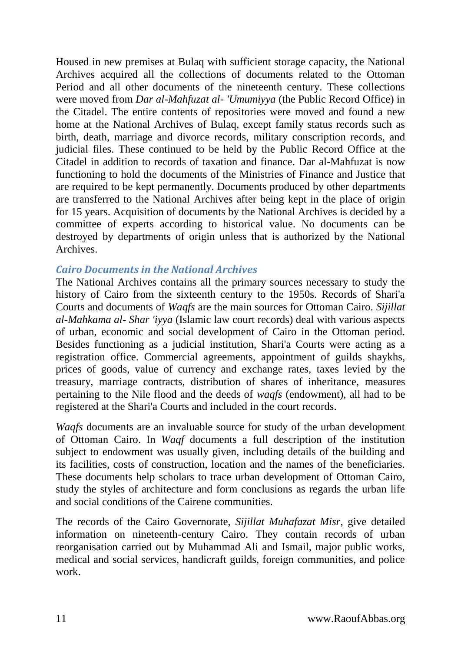Housed in new premises at Bulaq with sufficient storage capacity, the National Archives acquired all the collections of documents related to the Ottoman Period and all other documents of the nineteenth century. These collections were moved from *Dar al-Mahfuzat al- 'Umumiyya* (the Public Record Office) in the Citadel. The entire contents of repositories were moved and found a new home at the National Archives of Bulaq, except family status records such as birth, death, marriage and divorce records, military conscription records, and judicial files. These continued to be held by the Public Record Office at the Citadel in addition to records of taxation and finance. Dar al-Mahfuzat is now functioning to hold the documents of the Ministries of Finance and Justice that are required to be kept permanently. Documents produced by other departments are transferred to the National Archives after being kept in the place of origin for 15 years. Acquisition of documents by the National Archives is decided by a committee of experts according to historical value. No documents can be destroyed by departments of origin unless that is authorized by the National Archives.

#### *Cairo Documents in the National Archives*

The National Archives contains all the primary sources necessary to study the history of Cairo from the sixteenth century to the 1950s. Records of Shari'a Courts and documents of *Waqfs* are the main sources for Ottoman Cairo. *Sijillat al-Mahkama al- Shar 'iyya* (Islamic law court records) deal with various aspects of urban, economic and social development of Cairo in the Ottoman period. Besides functioning as a judicial institution, Shari'a Courts were acting as a registration office. Commercial agreements, appointment of guilds shaykhs, prices of goods, value of currency and exchange rates, taxes levied by the treasury, marriage contracts, distribution of shares of inheritance, measures pertaining to the Nile flood and the deeds of *waqfs* (endowment), all had to be registered at the Shari'a Courts and included in the court records.

*Waqfs* documents are an invaluable source for study of the urban development of Ottoman Cairo. In *Waqf* documents a full description of the institution subject to endowment was usually given, including details of the building and its facilities, costs of construction, location and the names of the beneficiaries. These documents help scholars to trace urban development of Ottoman Cairo, study the styles of architecture and form conclusions as regards the urban life and social conditions of the Cairene communities.

The records of the Cairo Governorate, *Sijillat Muhafazat Misr*, give detailed information on nineteenth-century Cairo. They contain records of urban reorganisation carried out by Muhammad Ali and Ismail, major public works, medical and social services, handicraft guilds, foreign communities, and police work.